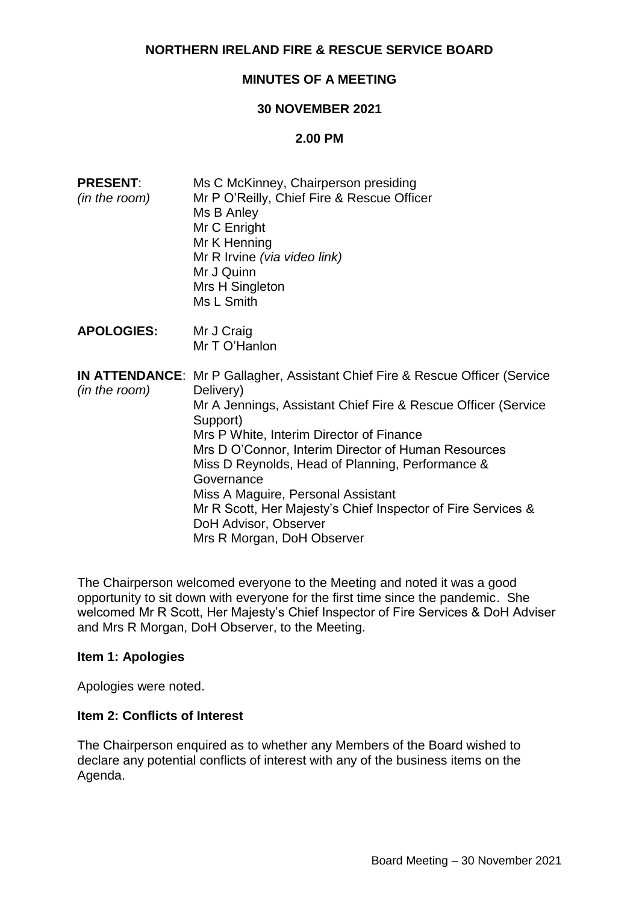# **NORTHERN IRELAND FIRE & RESCUE SERVICE BOARD**

# **MINUTES OF A MEETING**

### **30 NOVEMBER 2021**

### **2.00 PM**

| <b>PRESENT:</b><br>(in the room) | Ms C McKinney, Chairperson presiding<br>Mr P O'Reilly, Chief Fire & Rescue Officer<br>Ms B Anley<br>Mr C Enright<br>Mr K Henning<br>Mr R Irvine (via video link)<br>Mr J Quinn<br>Mrs H Singleton<br>Ms L Smith                                                                                                                                                                                                                                                                                                  |
|----------------------------------|------------------------------------------------------------------------------------------------------------------------------------------------------------------------------------------------------------------------------------------------------------------------------------------------------------------------------------------------------------------------------------------------------------------------------------------------------------------------------------------------------------------|
| <b>APOLOGIES:</b>                | Mr J Craig<br>Mr T O'Hanlon                                                                                                                                                                                                                                                                                                                                                                                                                                                                                      |
| (in the room)                    | <b>IN ATTENDANCE:</b> Mr P Gallagher, Assistant Chief Fire & Rescue Officer (Service<br>Delivery)<br>Mr A Jennings, Assistant Chief Fire & Rescue Officer (Service<br>Support)<br>Mrs P White, Interim Director of Finance<br>Mrs D O'Connor, Interim Director of Human Resources<br>Miss D Reynolds, Head of Planning, Performance &<br>Governance<br>Miss A Maguire, Personal Assistant<br>Mr R Scott, Her Majesty's Chief Inspector of Fire Services &<br>DoH Advisor, Observer<br>Mrs R Morgan, DoH Observer |

The Chairperson welcomed everyone to the Meeting and noted it was a good opportunity to sit down with everyone for the first time since the pandemic. She welcomed Mr R Scott, Her Majesty's Chief Inspector of Fire Services & DoH Adviser and Mrs R Morgan, DoH Observer, to the Meeting.

### **Item 1: Apologies**

Apologies were noted.

### **Item 2: Conflicts of Interest**

The Chairperson enquired as to whether any Members of the Board wished to declare any potential conflicts of interest with any of the business items on the Agenda.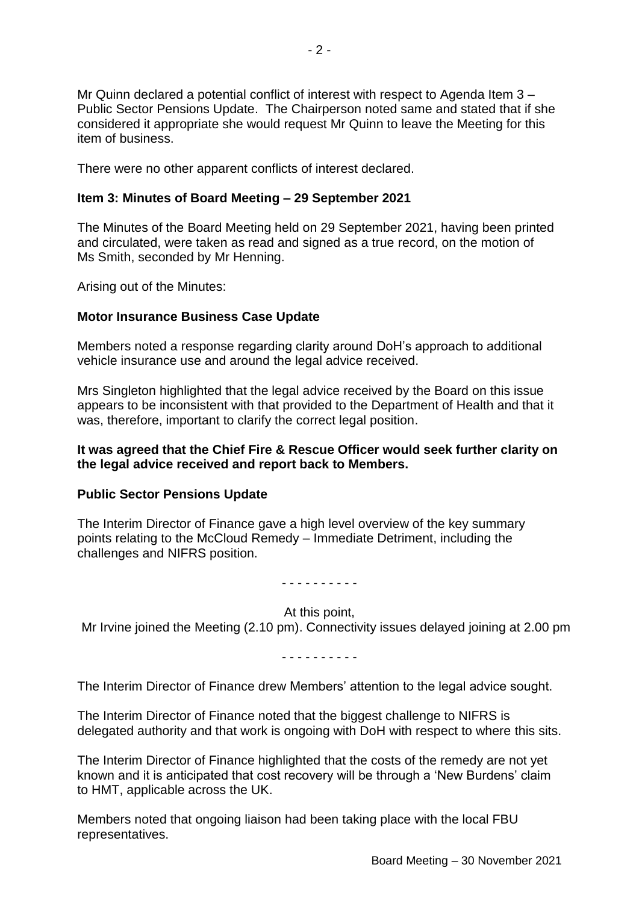Mr Quinn declared a potential conflict of interest with respect to Agenda Item 3 – Public Sector Pensions Update. The Chairperson noted same and stated that if she considered it appropriate she would request Mr Quinn to leave the Meeting for this item of business.

There were no other apparent conflicts of interest declared.

## **Item 3: Minutes of Board Meeting – 29 September 2021**

The Minutes of the Board Meeting held on 29 September 2021, having been printed and circulated, were taken as read and signed as a true record, on the motion of Ms Smith, seconded by Mr Henning.

Arising out of the Minutes:

## **Motor Insurance Business Case Update**

Members noted a response regarding clarity around DoH's approach to additional vehicle insurance use and around the legal advice received.

Mrs Singleton highlighted that the legal advice received by the Board on this issue appears to be inconsistent with that provided to the Department of Health and that it was, therefore, important to clarify the correct legal position.

### **It was agreed that the Chief Fire & Rescue Officer would seek further clarity on the legal advice received and report back to Members.**

### **Public Sector Pensions Update**

The Interim Director of Finance gave a high level overview of the key summary points relating to the McCloud Remedy – Immediate Detriment, including the challenges and NIFRS position.

#### - - - - - - - - - -

At this point,

Mr Irvine joined the Meeting (2.10 pm). Connectivity issues delayed joining at 2.00 pm

- - - - - - - - - -

The Interim Director of Finance drew Members' attention to the legal advice sought.

The Interim Director of Finance noted that the biggest challenge to NIFRS is delegated authority and that work is ongoing with DoH with respect to where this sits.

The Interim Director of Finance highlighted that the costs of the remedy are not yet known and it is anticipated that cost recovery will be through a 'New Burdens' claim to HMT, applicable across the UK.

Members noted that ongoing liaison had been taking place with the local FBU representatives.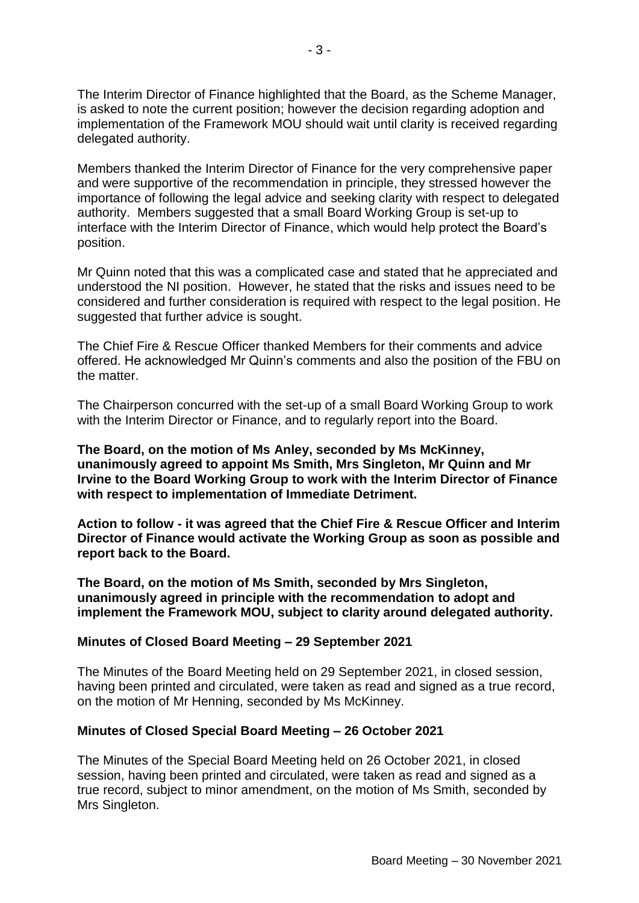The Interim Director of Finance highlighted that the Board, as the Scheme Manager, is asked to note the current position; however the decision regarding adoption and implementation of the Framework MOU should wait until clarity is received regarding delegated authority.

Members thanked the Interim Director of Finance for the very comprehensive paper and were supportive of the recommendation in principle, they stressed however the importance of following the legal advice and seeking clarity with respect to delegated authority. Members suggested that a small Board Working Group is set-up to interface with the Interim Director of Finance, which would help protect the Board's position.

Mr Quinn noted that this was a complicated case and stated that he appreciated and understood the NI position. However, he stated that the risks and issues need to be considered and further consideration is required with respect to the legal position. He suggested that further advice is sought.

The Chief Fire & Rescue Officer thanked Members for their comments and advice offered. He acknowledged Mr Quinn's comments and also the position of the FBU on the matter.

The Chairperson concurred with the set-up of a small Board Working Group to work with the Interim Director or Finance, and to regularly report into the Board.

**The Board, on the motion of Ms Anley, seconded by Ms McKinney, unanimously agreed to appoint Ms Smith, Mrs Singleton, Mr Quinn and Mr Irvine to the Board Working Group to work with the Interim Director of Finance with respect to implementation of Immediate Detriment.** 

**Action to follow - it was agreed that the Chief Fire & Rescue Officer and Interim Director of Finance would activate the Working Group as soon as possible and report back to the Board.**

**The Board, on the motion of Ms Smith, seconded by Mrs Singleton, unanimously agreed in principle with the recommendation to adopt and implement the Framework MOU, subject to clarity around delegated authority.**

### **Minutes of Closed Board Meeting – 29 September 2021**

The Minutes of the Board Meeting held on 29 September 2021, in closed session, having been printed and circulated, were taken as read and signed as a true record, on the motion of Mr Henning, seconded by Ms McKinney.

### **Minutes of Closed Special Board Meeting – 26 October 2021**

The Minutes of the Special Board Meeting held on 26 October 2021, in closed session, having been printed and circulated, were taken as read and signed as a true record, subject to minor amendment, on the motion of Ms Smith, seconded by Mrs Singleton.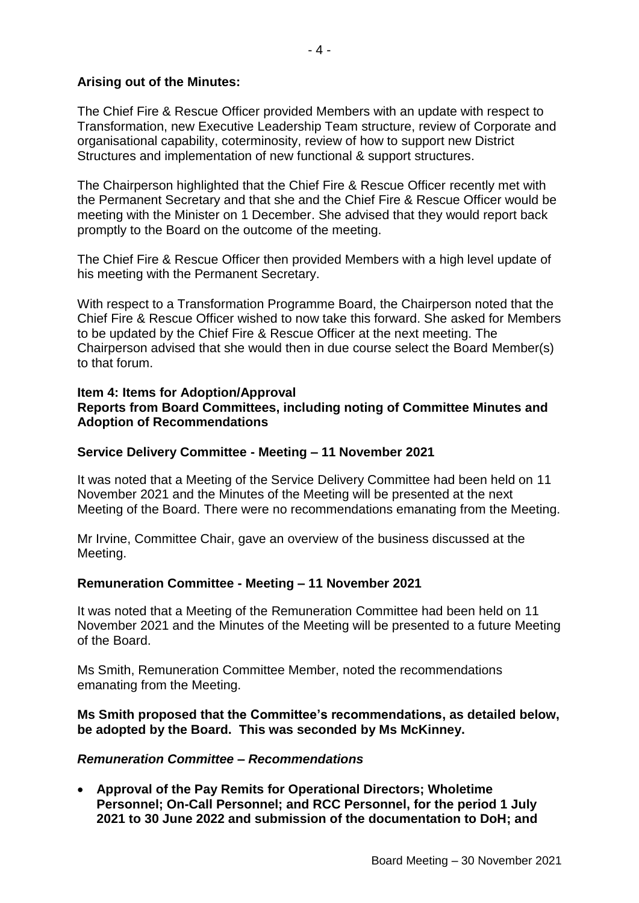## **Arising out of the Minutes:**

The Chief Fire & Rescue Officer provided Members with an update with respect to Transformation, new Executive Leadership Team structure, review of Corporate and organisational capability, coterminosity, review of how to support new District Structures and implementation of new functional & support structures.

The Chairperson highlighted that the Chief Fire & Rescue Officer recently met with the Permanent Secretary and that she and the Chief Fire & Rescue Officer would be meeting with the Minister on 1 December. She advised that they would report back promptly to the Board on the outcome of the meeting.

The Chief Fire & Rescue Officer then provided Members with a high level update of his meeting with the Permanent Secretary.

With respect to a Transformation Programme Board, the Chairperson noted that the Chief Fire & Rescue Officer wished to now take this forward. She asked for Members to be updated by the Chief Fire & Rescue Officer at the next meeting. The Chairperson advised that she would then in due course select the Board Member(s) to that forum.

### **Item 4: Items for Adoption/Approval Reports from Board Committees, including noting of Committee Minutes and Adoption of Recommendations**

### **Service Delivery Committee - Meeting – 11 November 2021**

It was noted that a Meeting of the Service Delivery Committee had been held on 11 November 2021 and the Minutes of the Meeting will be presented at the next Meeting of the Board. There were no recommendations emanating from the Meeting.

Mr Irvine, Committee Chair, gave an overview of the business discussed at the Meeting.

### **Remuneration Committee - Meeting – 11 November 2021**

It was noted that a Meeting of the Remuneration Committee had been held on 11 November 2021 and the Minutes of the Meeting will be presented to a future Meeting of the Board.

Ms Smith, Remuneration Committee Member, noted the recommendations emanating from the Meeting.

**Ms Smith proposed that the Committee's recommendations, as detailed below, be adopted by the Board. This was seconded by Ms McKinney.**

### *Remuneration Committee – Recommendations*

 **Approval of the Pay Remits for Operational Directors; Wholetime Personnel; On-Call Personnel; and RCC Personnel, for the period 1 July 2021 to 30 June 2022 and submission of the documentation to DoH; and**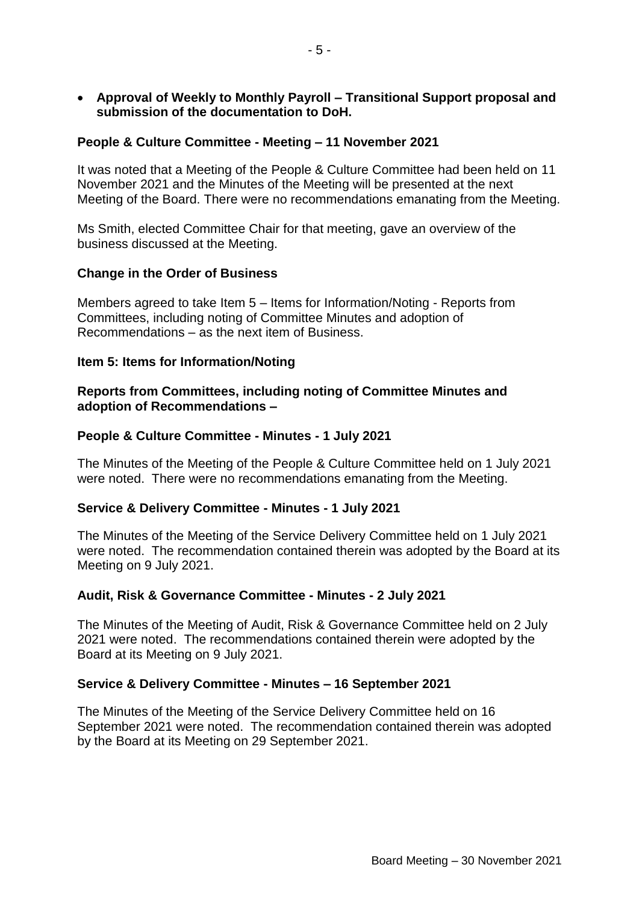**Approval of Weekly to Monthly Payroll – Transitional Support proposal and submission of the documentation to DoH.**

## **People & Culture Committee - Meeting – 11 November 2021**

It was noted that a Meeting of the People & Culture Committee had been held on 11 November 2021 and the Minutes of the Meeting will be presented at the next Meeting of the Board. There were no recommendations emanating from the Meeting.

Ms Smith, elected Committee Chair for that meeting, gave an overview of the business discussed at the Meeting.

### **Change in the Order of Business**

Members agreed to take Item 5 – Items for Information/Noting - Reports from Committees, including noting of Committee Minutes and adoption of Recommendations – as the next item of Business.

### **Item 5: Items for Information/Noting**

## **Reports from Committees, including noting of Committee Minutes and adoption of Recommendations –**

### **People & Culture Committee - Minutes - 1 July 2021**

The Minutes of the Meeting of the People & Culture Committee held on 1 July 2021 were noted. There were no recommendations emanating from the Meeting.

### **Service & Delivery Committee - Minutes - 1 July 2021**

The Minutes of the Meeting of the Service Delivery Committee held on 1 July 2021 were noted. The recommendation contained therein was adopted by the Board at its Meeting on 9 July 2021.

### **Audit, Risk & Governance Committee - Minutes - 2 July 2021**

The Minutes of the Meeting of Audit, Risk & Governance Committee held on 2 July 2021 were noted. The recommendations contained therein were adopted by the Board at its Meeting on 9 July 2021.

### **Service & Delivery Committee - Minutes – 16 September 2021**

The Minutes of the Meeting of the Service Delivery Committee held on 16 September 2021 were noted. The recommendation contained therein was adopted by the Board at its Meeting on 29 September 2021.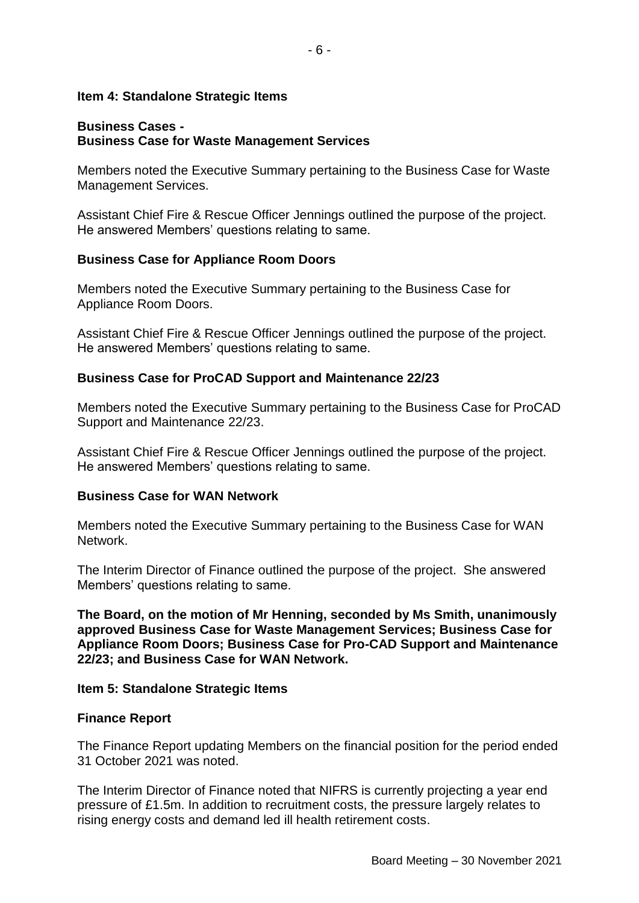### **Item 4: Standalone Strategic Items**

## **Business Cases - Business Case for Waste Management Services**

Members noted the Executive Summary pertaining to the Business Case for Waste Management Services.

Assistant Chief Fire & Rescue Officer Jennings outlined the purpose of the project. He answered Members' questions relating to same.

### **Business Case for Appliance Room Doors**

Members noted the Executive Summary pertaining to the Business Case for Appliance Room Doors.

Assistant Chief Fire & Rescue Officer Jennings outlined the purpose of the project. He answered Members' questions relating to same.

### **Business Case for ProCAD Support and Maintenance 22/23**

Members noted the Executive Summary pertaining to the Business Case for ProCAD Support and Maintenance 22/23.

Assistant Chief Fire & Rescue Officer Jennings outlined the purpose of the project. He answered Members' questions relating to same.

### **Business Case for WAN Network**

Members noted the Executive Summary pertaining to the Business Case for WAN Network.

The Interim Director of Finance outlined the purpose of the project. She answered Members' questions relating to same.

**The Board, on the motion of Mr Henning, seconded by Ms Smith, unanimously approved Business Case for Waste Management Services; Business Case for Appliance Room Doors; Business Case for Pro-CAD Support and Maintenance 22/23; and Business Case for WAN Network.**

### **Item 5: Standalone Strategic Items**

### **Finance Report**

The Finance Report updating Members on the financial position for the period ended 31 October 2021 was noted.

The Interim Director of Finance noted that NIFRS is currently projecting a year end pressure of £1.5m. In addition to recruitment costs, the pressure largely relates to rising energy costs and demand led ill health retirement costs.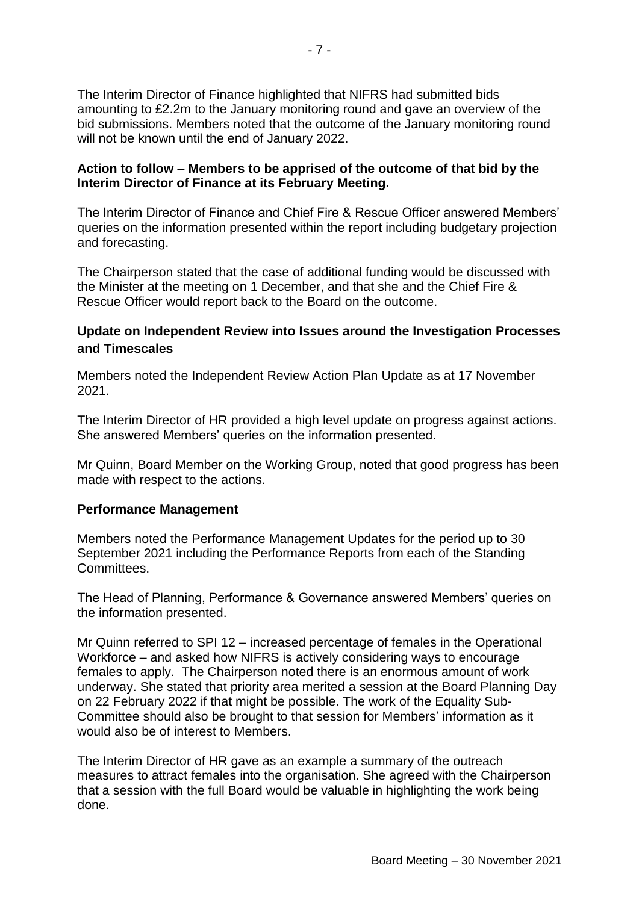The Interim Director of Finance highlighted that NIFRS had submitted bids amounting to £2.2m to the January monitoring round and gave an overview of the bid submissions. Members noted that the outcome of the January monitoring round will not be known until the end of January 2022.

### **Action to follow – Members to be apprised of the outcome of that bid by the Interim Director of Finance at its February Meeting.**

The Interim Director of Finance and Chief Fire & Rescue Officer answered Members' queries on the information presented within the report including budgetary projection and forecasting.

The Chairperson stated that the case of additional funding would be discussed with the Minister at the meeting on 1 December, and that she and the Chief Fire & Rescue Officer would report back to the Board on the outcome.

# **Update on Independent Review into Issues around the Investigation Processes and Timescales**

Members noted the Independent Review Action Plan Update as at 17 November 2021.

The Interim Director of HR provided a high level update on progress against actions. She answered Members' queries on the information presented.

Mr Quinn, Board Member on the Working Group, noted that good progress has been made with respect to the actions.

## **Performance Management**

Members noted the Performance Management Updates for the period up to 30 September 2021 including the Performance Reports from each of the Standing Committees.

The Head of Planning, Performance & Governance answered Members' queries on the information presented.

Mr Quinn referred to SPI 12 – increased percentage of females in the Operational Workforce – and asked how NIFRS is actively considering ways to encourage females to apply. The Chairperson noted there is an enormous amount of work underway. She stated that priority area merited a session at the Board Planning Day on 22 February 2022 if that might be possible. The work of the Equality Sub-Committee should also be brought to that session for Members' information as it would also be of interest to Members.

The Interim Director of HR gave as an example a summary of the outreach measures to attract females into the organisation. She agreed with the Chairperson that a session with the full Board would be valuable in highlighting the work being done.